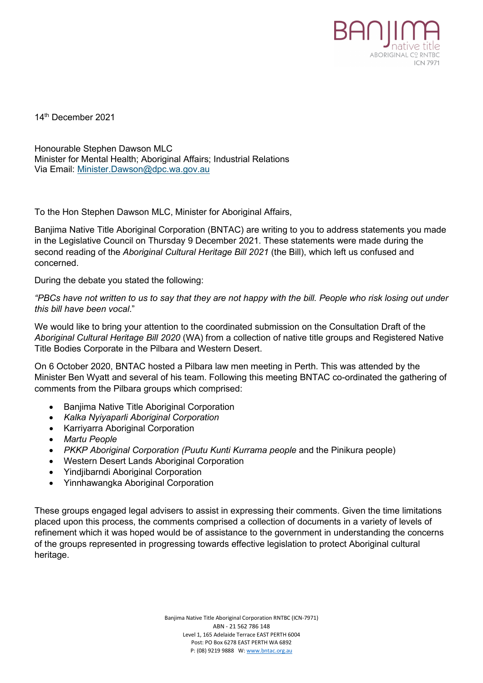

14th December 2021

Honourable Stephen Dawson MLC Minister for Mental Health; Aboriginal Affairs; Industrial Relations Via Email: [Minister.Dawson@dpc.wa.gov.au](mailto:Minister.Dawson@dpc.wa.gov.au)

To the Hon Stephen Dawson MLC, Minister for Aboriginal Affairs,

Banjima Native Title Aboriginal Corporation (BNTAC) are writing to you to address statements you made in the Legislative Council on Thursday 9 December 2021. These statements were made during the second reading of the *Aboriginal Cultural Heritage Bill 2021* (the Bill), which left us confused and concerned.

During the debate you stated the following:

*"PBCs have not written to us to say that they are not happy with the bill. People who risk losing out under this bill have been vocal*."

We would like to bring your attention to the coordinated submission on the Consultation Draft of the *Aboriginal Cultural Heritage Bill 2020* (WA) from a collection of native title groups and Registered Native Title Bodies Corporate in the Pilbara and Western Desert.

On 6 October 2020, BNTAC hosted a Pilbara law men meeting in Perth. This was attended by the Minister Ben Wyatt and several of his team. Following this meeting BNTAC co-ordinated the gathering of comments from the Pilbara groups which comprised:

- Banjima Native Title Aboriginal Corporation
- *Kalka Nyiyaparli Aboriginal Corporation*
- Karriyarra Aboriginal Corporation
- *Martu People*
- *PKKP Aboriginal Corporation (Puutu Kunti Kurrama people* and the Pinikura people)
- Western Desert Lands Aboriginal Corporation
- Yindjibarndi Aboriginal Corporation
- Yinnhawangka Aboriginal Corporation

These groups engaged legal advisers to assist in expressing their comments. Given the time limitations placed upon this process, the comments comprised a collection of documents in a variety of levels of refinement which it was hoped would be of assistance to the government in understanding the concerns of the groups represented in progressing towards effective legislation to protect Aboriginal cultural heritage.

> Banjima Native Title Aboriginal Corporation RNTBC (ICN-7971) ABN - 21 562 786 148 Level 1, 165 Adelaide Terrace EAST PERTH 6004 Post: PO Box 6278 EAST PERTH WA 6892 P: (08) 9219 9888 W[: www.bntac.org.au](http://www.bntac.org.au/)